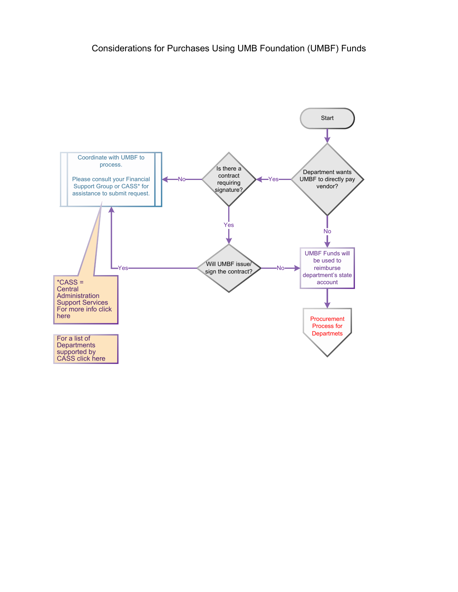<span id="page-0-0"></span>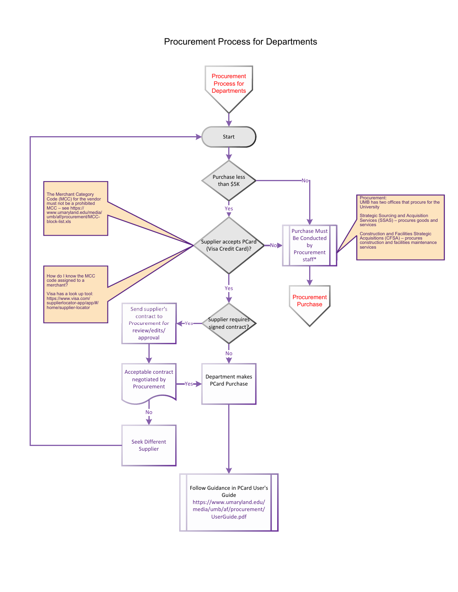## Procurement Process for Departments

<span id="page-1-0"></span>